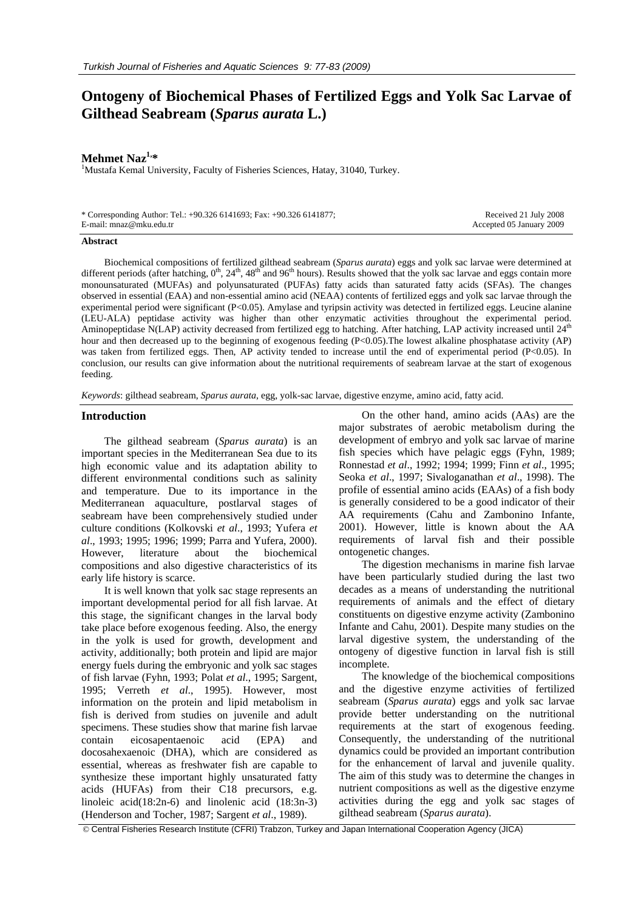# **Ontogeny of Biochemical Phases of Fertilized Eggs and Yolk Sac Larvae of Gilthead Seabream (***Sparus aurata* **L.)**

## **Mehmet Naz<sup>1,\*</sup>**

<sup>1</sup>Mustafa Kemal University, Faculty of Fisheries Sciences, Hatay, 31040, Turkey.

| * Corresponding Author: Tel.: +90.326 6141693; Fax: +90.326 6141877; | Received 21 July 2008    |
|----------------------------------------------------------------------|--------------------------|
| E-mail: mnaz@mku.edu.tr                                              | Accepted 05 January 2009 |

#### **Abstract**

Biochemical compositions of fertilized gilthead seabream (*Sparus aurata*) eggs and yolk sac larvae were determined at different periods (after hatching,  $0^{th}$ ,  $24^{th}$ ,  $48^{th}$  and  $96^{th}$  hours). Results showed that the yolk sac larvae and eggs contain more monounsaturated (MUFAs) and polyunsaturated (PUFAs) fatty acids than saturated fatty acids (SFAs). The changes observed in essential (EAA) and non-essential amino acid (NEAA) contents of fertilized eggs and yolk sac larvae through the experimental period were significant (P<0.05). Amylase and tyripsin activity was detected in fertilized eggs. Leucine alanine (LEU-ALA) peptidase activity was higher than other enzymatic activities throughout the experimental period. Aminopeptidase N(LAP) activity decreased from fertilized egg to hatching. After hatching, LAP activity increased until  $24<sup>th</sup>$ hour and then decreased up to the beginning of exogenous feeding (P<0.05). The lowest alkaline phosphatase activity (AP) was taken from fertilized eggs. Then, AP activity tended to increase until the end of experimental period (P<0.05). In conclusion, our results can give information about the nutritional requirements of seabream larvae at the start of exogenous feeding.

*Keywords*: gilthead seabream, *Sparus aurata*, egg, yolk-sac larvae, digestive enzyme, amino acid, fatty acid.

#### **Introduction**

The gilthead seabream (*Sparus aurata*) is an important species in the Mediterranean Sea due to its high economic value and its adaptation ability to different environmental conditions such as salinity and temperature. Due to its importance in the Mediterranean aquaculture, postlarval stages of seabream have been comprehensively studied under culture conditions (Kolkovski *et al*., 1993; Yufera *et al*., 1993; 1995; 1996; 1999; Parra and Yufera, 2000). However, literature about the biochemical compositions and also digestive characteristics of its early life history is scarce.

It is well known that yolk sac stage represents an important developmental period for all fish larvae. At this stage, the significant changes in the larval body take place before exogenous feeding. Also, the energy in the yolk is used for growth, development and activity, additionally; both protein and lipid are major energy fuels during the embryonic and yolk sac stages of fish larvae (Fyhn, 1993; Polat *et al*., 1995; Sargent, 1995; Verreth *et al*., 1995). However, most information on the protein and lipid metabolism in fish is derived from studies on juvenile and adult specimens. These studies show that marine fish larvae contain eicosapentaenoic acid (EPA) and docosahexaenoic (DHA), which are considered as essential, whereas as freshwater fish are capable to synthesize these important highly unsaturated fatty acids (HUFAs) from their C18 precursors, e.g. linoleic acid(18:2n-6) and linolenic acid (18:3n-3) (Henderson and Tocher, 1987; Sargent *et al*., 1989).

On the other hand, amino acids (AAs) are the major substrates of aerobic metabolism during the development of embryo and yolk sac larvae of marine fish species which have pelagic eggs (Fyhn, 1989; Ronnestad *et al*., 1992; 1994; 1999; Finn *et al*., 1995; Seoka *et al*., 1997; Sivaloganathan *et al*., 1998). The profile of essential amino acids (EAAs) of a fish body is generally considered to be a good indicator of their AA requirements (Cahu and Zambonino Infante, 2001). However, little is known about the AA requirements of larval fish and their possible ontogenetic changes.

The digestion mechanisms in marine fish larvae have been particularly studied during the last two decades as a means of understanding the nutritional requirements of animals and the effect of dietary constituents on digestive enzyme activity (Zambonino Infante and Cahu, 2001). Despite many studies on the larval digestive system, the understanding of the ontogeny of digestive function in larval fish is still incomplete.

The knowledge of the biochemical compositions and the digestive enzyme activities of fertilized seabream (*Sparus aurata*) eggs and yolk sac larvae provide better understanding on the nutritional requirements at the start of exogenous feeding. Consequently, the understanding of the nutritional dynamics could be provided an important contribution for the enhancement of larval and juvenile quality. The aim of this study was to determine the changes in nutrient compositions as well as the digestive enzyme activities during the egg and yolk sac stages of gilthead seabream (*Sparus aurata*).

© Central Fisheries Research Institute (CFRI) Trabzon, Turkey and Japan International Cooperation Agency (JICA)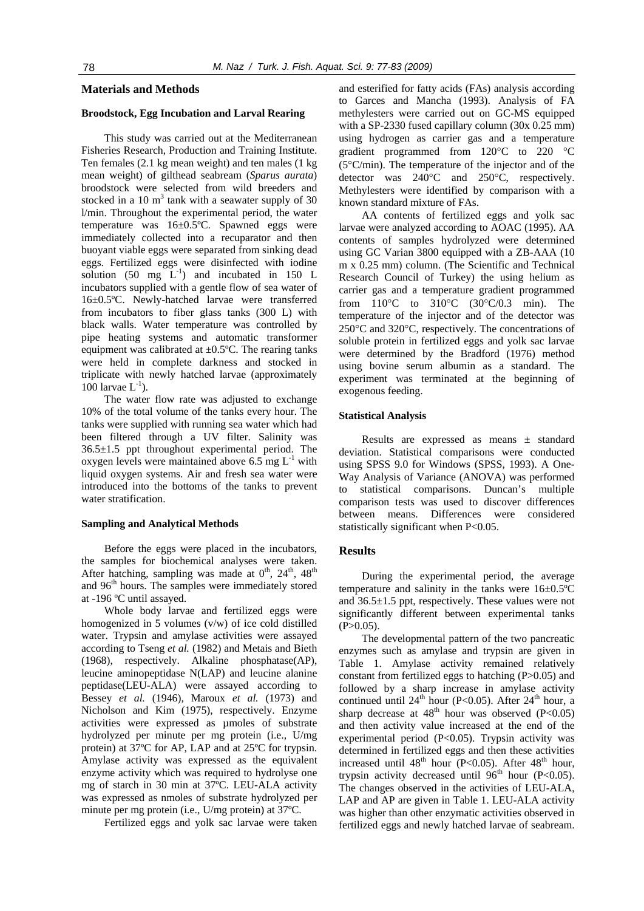# **Materials and Methods**

# **Broodstock, Egg Incubation and Larval Rearing**

This study was carried out at the Mediterranean Fisheries Research, Production and Training Institute. Ten females (2.1 kg mean weight) and ten males (1 kg mean weight) of gilthead seabream (*Sparus aurata*) broodstock were selected from wild breeders and stocked in a 10  $m<sup>3</sup>$  tank with a seawater supply of 30 l/min. Throughout the experimental period, the water temperature was 16±0.5ºC. Spawned eggs were immediately collected into a recuparator and then buoyant viable eggs were separated from sinking dead eggs. Fertilized eggs were disinfected with iodine solution (50 mg  $L^{-1}$ ) and incubated in 150 L incubators supplied with a gentle flow of sea water of 16±0.5ºC. Newly-hatched larvae were transferred from incubators to fiber glass tanks (300 L) with black walls. Water temperature was controlled by pipe heating systems and automatic transformer equipment was calibrated at  $\pm 0.5$ °C. The rearing tanks were held in complete darkness and stocked in triplicate with newly hatched larvae (approximately 100 larvae  $L^{-1}$ ).

The water flow rate was adjusted to exchange 10% of the total volume of the tanks every hour. The tanks were supplied with running sea water which had been filtered through a UV filter. Salinity was 36.5±1.5 ppt throughout experimental period. The oxygen levels were maintained above 6.5 mg  $L^{-1}$  with liquid oxygen systems. Air and fresh sea water were introduced into the bottoms of the tanks to prevent water stratification.

#### **Sampling and Analytical Methods**

Before the eggs were placed in the incubators, the samples for biochemical analyses were taken. After hatching, sampling was made at  $0<sup>th</sup>$ ,  $24<sup>th</sup>$ ,  $48<sup>th</sup>$ and 96<sup>th</sup> hours. The samples were immediately stored at -196 ºC until assayed.

Whole body larvae and fertilized eggs were homogenized in 5 volumes (v/w) of ice cold distilled water. Trypsin and amylase activities were assayed according to Tseng *et al.* (1982) and Metais and Bieth (1968), respectively. Alkaline phosphatase(AP), leucine aminopeptidase N(LAP) and leucine alanine peptidase(LEU-ALA) were assayed according to Bessey *et al.* (1946), Maroux *et al.* (1973) and Nicholson and Kim (1975), respectively. Enzyme activities were expressed as µmoles of substrate hydrolyzed per minute per mg protein (i.e., U/mg protein) at 37ºC for AP, LAP and at 25ºC for trypsin. Amylase activity was expressed as the equivalent enzyme activity which was required to hydrolyse one mg of starch in 30 min at 37ºC. LEU-ALA activity was expressed as nmoles of substrate hydrolyzed per minute per mg protein (i.e., U/mg protein) at 37ºC.

Fertilized eggs and yolk sac larvae were taken

and esterified for fatty acids (FAs) analysis according to Garces and Mancha (1993). Analysis of FA methylesters were carried out on GC-MS equipped with a SP-2330 fused capillary column (30x 0.25 mm) using hydrogen as carrier gas and a temperature gradient programmed from 120°C to 220 °C (5°C/min). The temperature of the injector and of the detector was 240°C and 250°C, respectively. Methylesters were identified by comparison with a known standard mixture of FAs.

AA contents of fertilized eggs and yolk sac larvae were analyzed according to AOAC (1995). AA contents of samples hydrolyzed were determined using GC Varian 3800 equipped with a ZB-AAA (10 m x 0.25 mm) column. (The Scientific and Technical Research Council of Turkey) the using helium as carrier gas and a temperature gradient programmed from 110°C to 310°C (30°C/0.3 min). The temperature of the injector and of the detector was 250°C and 320°C, respectively. The concentrations of soluble protein in fertilized eggs and yolk sac larvae were determined by the Bradford (1976) method using bovine serum albumin as a standard. The experiment was terminated at the beginning of exogenous feeding.

### **Statistical Analysis**

Results are expressed as means ± standard deviation. Statistical comparisons were conducted using SPSS 9.0 for Windows (SPSS, 1993). A One-Way Analysis of Variance (ANOVA) was performed to statistical comparisons. Duncan's multiple comparison tests was used to discover differences between means. Differences were considered statistically significant when P<0.05.

## **Results**

During the experimental period, the average temperature and salinity in the tanks were  $16\pm0.5^{\circ}$ C and 36.5±1.5 ppt, respectively. These values were not significantly different between experimental tanks  $(P>0.05)$ .

The developmental pattern of the two pancreatic enzymes such as amylase and trypsin are given in Table 1. Amylase activity remained relatively constant from fertilized eggs to hatching (P>0.05) and followed by a sharp increase in amylase activity continued until  $24^{th}$  hour (P<0.05). After  $24^{th}$  hour, a sharp decrease at  $48<sup>th</sup>$  hour was observed (P<0.05) and then activity value increased at the end of the experimental period (P<0.05). Trypsin activity was determined in fertilized eggs and then these activities increased until  $48<sup>th</sup>$  hour (P<0.05). After  $48<sup>th</sup>$  hour, trypsin activity decreased until  $96<sup>th</sup>$  hour (P<0.05). The changes observed in the activities of LEU-ALA, LAP and AP are given in Table 1. LEU-ALA activity was higher than other enzymatic activities observed in fertilized eggs and newly hatched larvae of seabream.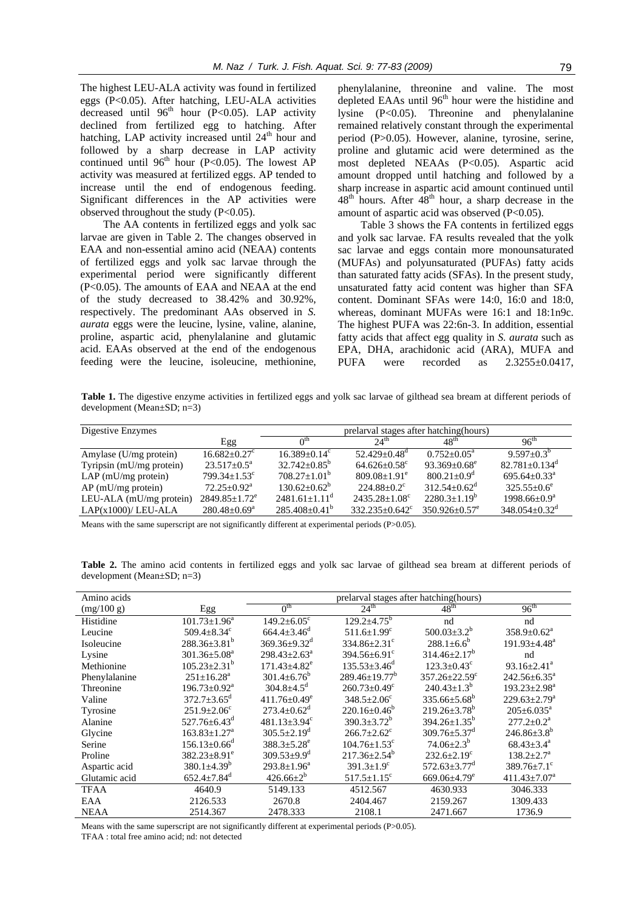The highest LEU-ALA activity was found in fertilized eggs (P<0.05). After hatching, LEU-ALA activities decreased until  $96<sup>th</sup>$  hour (P<0.05). LAP activity declined from fertilized egg to hatching. After hatching, LAP activity increased until 24<sup>th</sup> hour and followed by a sharp decrease in LAP activity continued until  $96<sup>th</sup>$  hour (P<0.05). The lowest AP activity was measured at fertilized eggs. AP tended to increase until the end of endogenous feeding. Significant differences in the AP activities were observed throughout the study (P<0.05).

The AA contents in fertilized eggs and yolk sac larvae are given in Table 2. The changes observed in EAA and non-essential amino acid (NEAA) contents of fertilized eggs and yolk sac larvae through the experimental period were significantly different (P<0.05). The amounts of EAA and NEAA at the end of the study decreased to 38.42% and 30.92%, respectively. The predominant AAs observed in *S. aurata* eggs were the leucine, lysine, valine, alanine, proline, aspartic acid, phenylalanine and glutamic acid. EAAs observed at the end of the endogenous feeding were the leucine, isoleucine, methionine,

phenylalanine, threonine and valine. The most depleted EAAs until  $96<sup>th</sup>$  hour were the histidine and lysine (P<0.05). Threonine and phenylalanine remained relatively constant through the experimental period (P>0.05). However, alanine, tyrosine, serine, proline and glutamic acid were determined as the most depleted NEAAs (P<0.05). Aspartic acid amount dropped until hatching and followed by a sharp increase in aspartic acid amount continued until  $48<sup>th</sup>$  hours. After  $48<sup>th</sup>$  hour, a sharp decrease in the amount of aspartic acid was observed (P<0.05).

Table 3 shows the FA contents in fertilized eggs and yolk sac larvae. FA results revealed that the yolk sac larvae and eggs contain more monounsaturated (MUFAs) and polyunsaturated (PUFAs) fatty acids than saturated fatty acids (SFAs). In the present study, unsaturated fatty acid content was higher than SFA content. Dominant SFAs were 14:0, 16:0 and 18:0, whereas, dominant MUFAs were 16:1 and 18:1n9c. The highest PUFA was 22:6n-3. In addition, essential fatty acids that affect egg quality in *S. aurata* such as EPA, DHA, arachidonic acid (ARA), MUFA and PUFA were recorded as  $2.3255\pm0.0417$ ,

**Table 1.** The digestive enzyme activities in fertilized eggs and yolk sac larvae of gilthead sea bream at different periods of development (Mean±SD; n=3)

| Digestive Enzymes        |                                 | prelarval stages after hatching (hours) |                          |                    |                                 |
|--------------------------|---------------------------------|-----------------------------------------|--------------------------|--------------------|---------------------------------|
|                          | Egg                             | $\bigcap$ <sup>th</sup>                 | $24^{\text{th}}$         | 48 <sup>th</sup>   | 96 <sup>th</sup>                |
| Amylase (U/mg protein)   | $16.682 + 0.27^{\circ}$         | $16.389 + 0.14^{\circ}$                 | $52.429 + 0.48^d$        | $0.752+0.05^a$     | $9.597+0.3^{b}$                 |
| Tyripsin (mU/mg protein) | $23.517 + 0.5^a$                | $32.742 + 0.85^{\circ}$                 | $64.626 + 0.58^{\circ}$  | $93.369 + 0.68^e$  | $82.781 + 0.134$ <sup>d</sup>   |
| $LAP$ (mU/mg protein)    | $799.34 + 1.53^{\circ}$         | $708.27+1.01^b$                         | $809.08 + 1.91^e$        | $800.21 + 0.9^d$   | $695.64 + 0.33^{\circ}$         |
| $AP$ (mU/mg protein)     | $72.25+0.92^a$                  | $130.62 + 0.62^b$                       | $224.88 + 0.2^c$         | $312.54 + 0.62^d$  | $325.55+0.6^e$                  |
| LEU-ALA (mU/mg protein)  | $2849.85 \pm 1.72$ <sup>e</sup> | $2481.61+1.11^{\circ}$                  | $2435.28 + 1.08^{\circ}$ | $2280.3+1.19^b$    | $1998.66 \pm 0.9^{\circ}$       |
| $LAP(x1000)/LEU-ALA$     | $280.48 + 0.69^a$               | $285.408 \pm 0.41^{\circ}$              | $332.235+0.642^{\circ}$  | $350.926 + 0.57^e$ | $348.054 \pm 0.32$ <sup>d</sup> |

Means with the same superscript are not significantly different at experimental periods (P>0.05).

Table 2. The amino acid contents in fertilized eggs and yolk sac larvae of gilthead sea bream at different periods of development (Mean±SD; n=3)

| Amino acids   |                                | prelarval stages after hatching (hours) |                                |                                |                                |
|---------------|--------------------------------|-----------------------------------------|--------------------------------|--------------------------------|--------------------------------|
| (mg/100 g)    | Egg                            | 0 <sup>th</sup>                         | 24 <sup>th</sup>               | $48^{\text{th}}$               | $96^{\text{th}}$               |
| Histidine     | $101.73 \pm 1.96^a$            | $149.2 + 6.05^{\circ}$                  | $129.2 \pm 4.75$ <sup>b</sup>  | nd                             | nd                             |
| Leucine       | 509.4 $\pm$ 8.34 $\rm{^c}$     | $664.4 \pm 3.46$ <sup>d</sup>           | $511.6 \pm 1.99$ <sup>c</sup>  | 500.03 $\pm$ 3.2 <sup>b</sup>  | $358.9 \pm 0.62^{\text{a}}$    |
| Isoleucine    | $288.36 \pm 3.81^b$            | $369.36 \pm 9.32$ <sup>d</sup>          | $334.86 \pm 2.31$ <sup>c</sup> | $288.1 \pm 6.6^b$              | $191.93 \pm 4.48$ <sup>a</sup> |
| Lysine        | $301.36 \pm 5.08^a$            | $298.43 \pm 2.63^a$                     | $394.56 \pm 6.91$ <sup>c</sup> | $314.46 \pm 2.17^b$            | nd                             |
| Methionine    | $105.23 \pm 2.31^b$            | $171.43 \pm 4.82$ <sup>e</sup>          | $135.53 \pm 3.46^d$            | $123.3 \pm 0.43$ <sup>c</sup>  | $93.16 \pm 2.41^{\circ}$       |
| Phenylalanine | $251 \pm 16.28^a$              | $301.4 \pm 6.76^{\circ}$                | $289.46+19.77^b$               | $357.26 + 22.59^{\circ}$       | $242.56 \pm 6.35^{\circ}$      |
| Threonine     | $196.73 \pm 0.92^{\text{a}}$   | $304.8 \pm 4.5$ <sup>d</sup>            | $260.73 \pm 0.49$ <sup>c</sup> | $240.43 \pm 1.3^b$             | $193.23 \pm 2.98^a$            |
| Valine        | $372.7 \pm 3.65$ <sup>d</sup>  | $411.76 \pm 0.49^e$                     | $348.5 \pm 2.06^{\circ}$       | $335.66 \pm 5.68^b$            | $229.63 \pm 2.79^{\mathrm{a}}$ |
| Tyrosine      | $251.9 + 2.06^{\circ}$         | $273.4+0.62^{\mathrm{d}}$               | $220.16 \pm 0.46^b$            | $219.26 + 3.78^b$              | $205+6.035^a$                  |
| Alanine       | 527.76 $\pm$ 6.43 <sup>d</sup> | $481.13 \pm 3.94$ <sup>c</sup>          | $390.3 \pm 3.72^b$             | $394.26 \pm 1.35^b$            | $277.2 \pm 0.2^{\text{a}}$     |
| Glycine       | $163.83 \pm 1.27^{\text{a}}$   | $305.5 \pm 2.19^d$                      | $266.7+2.62^{\circ}$           | $309.76 \pm 5.37$ <sup>d</sup> | $246.86 \pm 3.8^b$             |
| Serine        | $156.13 + 0.66^d$              | $388.3 + 5.28^e$                        | $104.76 + 1.53$ <sup>c</sup>   | $74.06 + 2.3^{b}$              | $68.43 + 3.4^a$                |
| Proline       | $382.23 \pm 8.91^e$            | $309.53 + 9.9^d$                        | $217.36 \pm 2.54^b$            | $232.6 \pm 2.19$ <sup>c</sup>  | $138.2 + 2.7^a$                |
| Aspartic acid | $380.1 \pm 4.39^b$             | $293.8 \pm 1.96^a$                      | $391.3 \pm 1.9$ <sup>c</sup>   | $572.63 \pm 3.77$ <sup>d</sup> | $389.76 \pm 7.1$ °             |
| Glutamic acid | $652.4 \pm 7.84$ <sup>d</sup>  | $426.66 \pm 2^{b}$                      | $517.5 \pm 1.15$ <sup>c</sup>  | $669.06\pm4.79^e$              | $411.43 \pm 7.07$ <sup>a</sup> |
| <b>TFAA</b>   | 4640.9                         | 5149.133                                | 4512.567                       | 4630.933                       | 3046.333                       |
| EAA           | 2126.533                       | 2670.8                                  | 2404.467                       | 2159.267                       | 1309.433                       |
| <b>NEAA</b>   | 2514.367                       | 2478.333                                | 2108.1                         | 2471.667                       | 1736.9                         |

Means with the same superscript are not significantly different at experimental periods (P>0.05). TFAA : total free amino acid; nd: not detected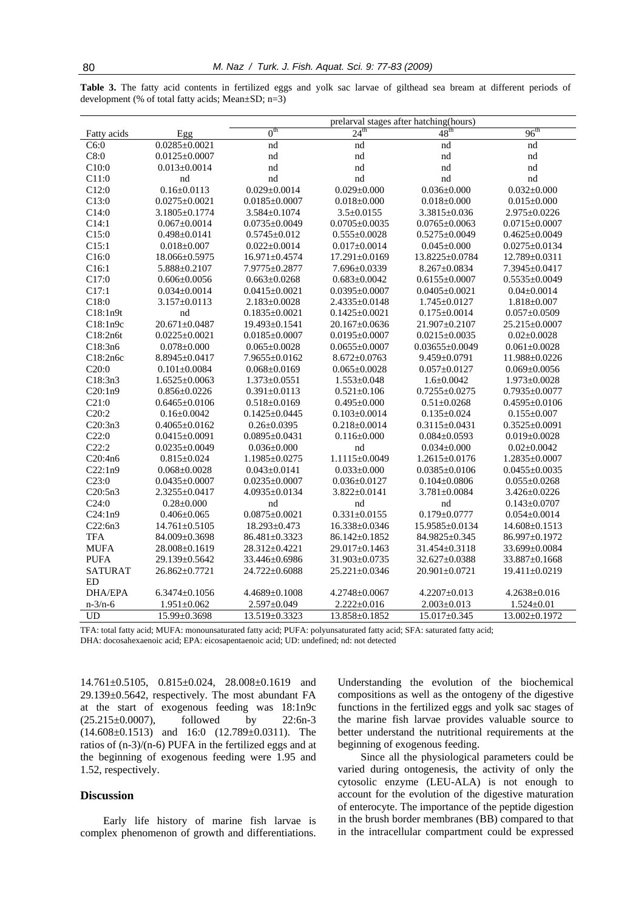|                |                     | prelarval stages after hatching (hours) |                     |                      |                     |
|----------------|---------------------|-----------------------------------------|---------------------|----------------------|---------------------|
| Fatty acids    | Egg                 | $0^{\text{th}}$                         | $24^{\text{th}}$    | 48 <sup>th</sup>     | $96^{\text{th}}$    |
| C6:0           | $0.0285 \pm 0.0021$ | nd                                      | nd                  | nd                   | nd                  |
| C8:0           | $0.0125 \pm 0.0007$ | nd                                      | nd                  | nd                   | nd                  |
| C10:0          | $0.013 \pm 0.0014$  | nd                                      | nd                  | nd                   | nd                  |
| C11:0          | nd                  | nd                                      | nd                  | nd                   | nd                  |
| C12:0          | $0.16 \pm 0.0113$   | $0.029 \pm 0.0014$                      | $0.029 \pm 0.000$   | $0.036 \pm 0.000$    | $0.032 \pm 0.000$   |
| C13:0          | $0.0275 \pm 0.0021$ | $0.0185 \pm 0.0007$                     | $0.018 \pm 0.000$   | $0.018 \pm 0.000$    | $0.015 \pm 0.000$   |
| C14:0          | $3.1805 \pm 0.1774$ | 3.584±0.1074                            | $3.5 \pm 0.0155$    | 3.3815±0.036         | 2.975±0.0226        |
| C14:1          | $0.067 \pm 0.0014$  | $0.0735 \pm 0.0049$                     | $0.0705 \pm 0.0035$ | $0.0765 \pm 0.0063$  | $0.0715 \pm 0.0007$ |
| C15:0          | $0.498 \pm 0.0141$  | $0.5745 \pm 0.012$                      | $0.555 \pm 0.0028$  | $0.5275 \pm 0.0049$  | $0.4625 \pm 0.0049$ |
| C15:1          | $0.018 \pm 0.007$   | $0.022 \pm 0.0014$                      | $0.017 \pm 0.0014$  | $0.045 \pm 0.000$    | $0.0275 \pm 0.0134$ |
| C16:0          | 18.066±0.5975       | 16.971±0.4574                           | 17.291±0.0169       | 13.8225±0.0784       | 12.789±0.0311       |
| C16:1          | $5.888 \pm 0.2107$  | 7.9775±0.2877                           | $7.696 \pm 0.0339$  | $8.267 \pm 0.0834$   | 7.3945±0.0417       |
| C17:0          | $0.606 \pm 0.0056$  | $0.663 \pm 0.0268$                      | $0.683 \pm 0.0042$  | $0.6155 \pm 0.0007$  | $0.5535 \pm 0.0049$ |
| C17:1          | $0.034 \pm 0.0014$  | $0.0415 \pm 0.0021$                     | $0.0395 \pm 0.0007$ | $0.0405 \pm 0.0021$  | $0.04 \pm 0.0014$   |
| C18:0          | $3.157 \pm 0.0113$  | $2.183 \pm 0.0028$                      | $2.4335 \pm 0.0148$ | $1.745 \pm 0.0127$   | $1.818 \pm 0.007$   |
| C18:1n9t       | nd                  | $0.1835 \pm 0.0021$                     | $0.1425 \pm 0.0021$ | $0.175 \pm 0.0014$   | $0.057 \pm 0.0509$  |
| C18:1n9c       | $20.671 \pm 0.0487$ | 19.493±0.1541                           | 20.167±0.0636       | 21.907±0.2107        | 25.215±0.0007       |
| C18:2n6t       | $0.0225 \pm 0.0021$ | $0.0185 \pm 0.0007$                     | $0.0195 \pm 0.0007$ | $0.0215 \pm 0.0035$  | $0.02 \pm 0.0028$   |
| C18:3n6        | $0.078 \pm 0.000$   | $0.065 \pm 0.0028$                      | $0.0655 \pm 0.0007$ | $0.03655 \pm 0.0049$ | $0.061 \pm 0.0028$  |
| C18:2n6c       | $8.8945 \pm 0.0417$ | $7.9655 \pm 0.0162$                     | $8.672 \pm 0.0763$  | $9.459 \pm 0.0791$   | 11.988±0.0226       |
| C20:0          | $0.101 \pm 0.0084$  | $0.068 \pm 0.0169$                      | $0.065 \pm 0.0028$  | $0.057 \pm 0.0127$   | $0.069 \pm 0.0056$  |
| C18:3n3        | $1.6525 \pm 0.0063$ | $1.373 \pm 0.0551$                      | $1.553 \pm 0.048$   | $1.6 \pm 0.0042$     | $1.973 \pm 0.0028$  |
| C20:1n9        | $0.856 \pm 0.0226$  | $0.391 \pm 0.0113$                      | $0.521 \pm 0.106$   | $0.7255 \pm 0.0275$  | $0.7935 \pm 0.0077$ |
| C21:0          | $0.6465 \pm 0.0106$ | $0.518 \pm 0.0169$                      | $0.495 \pm 0.000$   | $0.51 \pm 0.0268$    | $0.4595 \pm 0.0106$ |
| C20:2          | $0.16 \pm 0.0042$   | $0.1425 \pm 0.0445$                     | $0.103 \pm 0.0014$  | $0.135 \pm 0.024$    | $0.155 \pm 0.007$   |
| C20:3n3        | $0.4065 \pm 0.0162$ | $0.26 \pm 0.0395$                       | $0.218 \pm 0.0014$  | $0.3115 \pm 0.0431$  | $0.3525 \pm 0.0091$ |
| C22:0          | $0.0415 \pm 0.0091$ | $0.0895 \pm 0.0431$                     | $0.116 \pm 0.000$   | $0.084 \pm 0.0593$   | $0.019 \pm 0.0028$  |
| C22:2          | $0.0235 \pm 0.0049$ | $0.036 \pm 0.000$                       | nd                  | $0.034 \pm 0.000$    | $0.02 \pm 0.0042$   |
| C20:4n6        | $0.815 \pm 0.024$   | $1.1985 \pm 0.0275$                     | 1.1115±0.0049       | $1.2615 \pm 0.0176$  | $1.2835 \pm 0.0007$ |
| C22:1n9        | $0.068 \pm 0.0028$  | $0.043 \pm 0.0141$                      | $0.033 \pm 0.000$   | $0.0385 \pm 0.0106$  | $0.0455 \pm 0.0035$ |
| C23:0          | $0.0435 \pm 0.0007$ | $0.0235 \pm 0.0007$                     | $0.036 \pm 0.0127$  | $0.104 \pm 0.0806$   | $0.055 \pm 0.0268$  |
| C20:5n3        | $2.3255 \pm 0.0417$ | $4.0935 \pm 0.0134$                     | $3.822 \pm 0.0141$  | $3.781 \pm 0.0084$   | 3.426±0.0226        |
| C24:0          | $0.28 \pm 0.000$    | nd                                      | nd                  | nd                   | $0.143 \pm 0.0707$  |
| C24:1n9        | $0.406 \pm 0.065$   | $0.0875 \pm 0.0021$                     | $0.331 \pm 0.0155$  | $0.179 \pm 0.0777$   | $0.054 \pm 0.0014$  |
| C22:6n3        | $14.761 \pm 0.5105$ | $18.293 \pm 0.473$                      | 16.338±0.0346       | 15.9585±0.0134       | 14.608±0.1513       |
| <b>TFA</b>     | 84.009±0.3698       | 86.481±0.3323                           | 86.142±0.1852       | 84.9825±0.345        | 86.997±0.1972       |
| <b>MUFA</b>    | 28.008±0.1619       | 28.312±0.4221                           | 29.017±0.1463       | 31.454±0.3118        | 33.699±0.0084       |
| <b>PUFA</b>    | 29.139±0.5642       | 33.446±0.6986                           | 31.903±0.0735       | 32.627±0.0388        | 33.887±0.1668       |
| <b>SATURAT</b> | $26.862 \pm 0.7721$ | 24.722±0.6088                           | 25.221±0.0346       | 20.901±0.0721        | 19.411±0.0219       |
| <b>ED</b>      |                     |                                         |                     |                      |                     |
| DHA/EPA        | $6.3474\pm0.1056$   | $4.4689 \pm 0.1008$                     | $4.2748 \pm 0.0067$ | $4.2207 \pm 0.013$   | $4.2638 \pm 0.016$  |
| $n - 3/n - 6$  | $1.951 \pm 0.062$   | $2.597 \pm 0.049$                       | $2.222 \pm 0.016$   | $2.003 \pm 0.013$    | $1.524 \pm 0.01$    |
| <b>UD</b>      | 15.99±0.3698        | 13.519±0.3323                           | 13.858±0.1852       | $15.017 \pm 0.345$   | $13.002 \pm 0.1972$ |

**Table 3.** The fatty acid contents in fertilized eggs and yolk sac larvae of gilthead sea bream at different periods of development (% of total fatty acids; Mean±SD; n=3)

TFA: total fatty acid; MUFA: monounsaturated fatty acid; PUFA: polyunsaturated fatty acid; SFA: saturated fatty acid; DHA: docosahexaenoic acid; EPA: eicosapentaenoic acid; UD: undefined; nd: not detected

14.761±0.5105, 0.815±0.024, 28.008±0.1619 and 29.139±0.5642, respectively. The most abundant FA at the start of exogenous feeding was 18:1n9c (25.215±0.0007), followed by 22:6n-3 (14.608±0.1513) and 16:0 (12.789±0.0311). The ratios of (n-3)/(n-6) PUFA in the fertilized eggs and at the beginning of exogenous feeding were 1.95 and 1.52, respectively.

# **Discussion**

Early life history of marine fish larvae is complex phenomenon of growth and differentiations.

Understanding the evolution of the biochemical compositions as well as the ontogeny of the digestive functions in the fertilized eggs and yolk sac stages of the marine fish larvae provides valuable source to better understand the nutritional requirements at the beginning of exogenous feeding.

Since all the physiological parameters could be varied during ontogenesis, the activity of only the cytosolic enzyme (LEU-ALA) is not enough to account for the evolution of the digestive maturation of enterocyte. The importance of the peptide digestion in the brush border membranes (BB) compared to that in the intracellular compartment could be expressed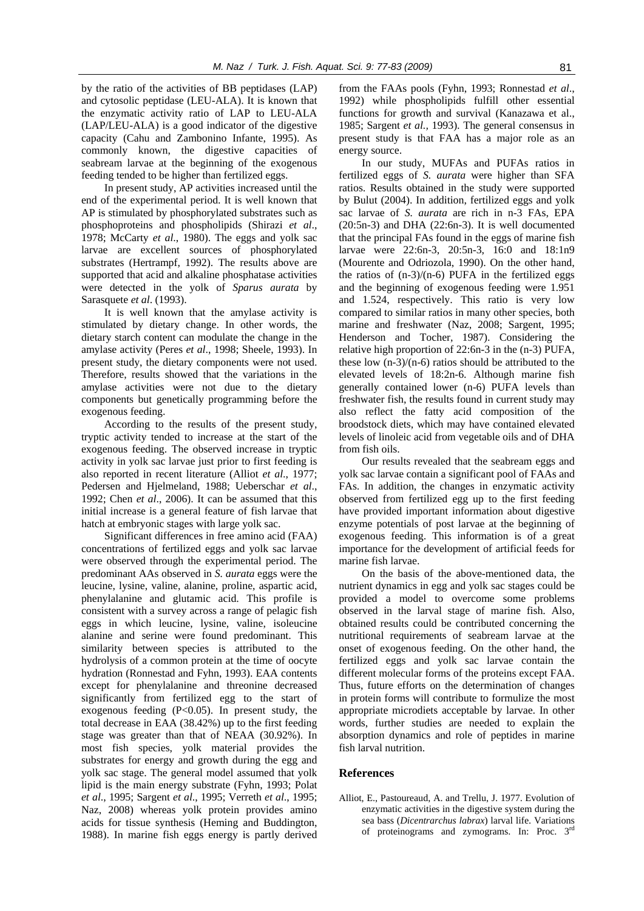by the ratio of the activities of BB peptidases (LAP) and cytosolic peptidase (LEU-ALA). It is known that the enzymatic activity ratio of LAP to LEU-ALA (LAP/LEU-ALA) is a good indicator of the digestive capacity (Cahu and Zambonino Infante, 1995). As commonly known, the digestive capacities of seabream larvae at the beginning of the exogenous feeding tended to be higher than fertilized eggs.

In present study, AP activities increased until the end of the experimental period. It is well known that AP is stimulated by phosphorylated substrates such as phosphoproteins and phospholipids (Shirazi *et al*., 1978; McCarty *et al*., 1980). The eggs and yolk sac larvae are excellent sources of phosphorylated substrates (Hertrampf, 1992). The results above are supported that acid and alkaline phosphatase activities were detected in the yolk of *Sparus aurata* by Sarasquete *et al*. (1993).

It is well known that the amylase activity is stimulated by dietary change. In other words, the dietary starch content can modulate the change in the amylase activity (Peres *et al*., 1998; Sheele, 1993). In present study, the dietary components were not used. Therefore, results showed that the variations in the amylase activities were not due to the dietary components but genetically programming before the exogenous feeding.

According to the results of the present study, tryptic activity tended to increase at the start of the exogenous feeding. The observed increase in tryptic activity in yolk sac larvae just prior to first feeding is also reported in recent literature (Alliot *et al*., 1977; Pedersen and Hjelmeland, 1988; Ueberschar *et al*., 1992; Chen *et al*., 2006). It can be assumed that this initial increase is a general feature of fish larvae that hatch at embryonic stages with large yolk sac.

Significant differences in free amino acid (FAA) concentrations of fertilized eggs and yolk sac larvae were observed through the experimental period. The predominant AAs observed in *S. aurata* eggs were the leucine, lysine, valine, alanine, proline, aspartic acid, phenylalanine and glutamic acid. This profile is consistent with a survey across a range of pelagic fish eggs in which leucine, lysine, valine, isoleucine alanine and serine were found predominant. This similarity between species is attributed to the hydrolysis of a common protein at the time of oocyte hydration (Ronnestad and Fyhn, 1993). EAA contents except for phenylalanine and threonine decreased significantly from fertilized egg to the start of exogenous feeding (P<0.05). In present study, the total decrease in EAA (38.42%) up to the first feeding stage was greater than that of NEAA (30.92%). In most fish species, yolk material provides the substrates for energy and growth during the egg and yolk sac stage. The general model assumed that yolk lipid is the main energy substrate (Fyhn, 1993; Polat *et al*., 1995; Sargent *et al*., 1995; Verreth *et al*., 1995; Naz, 2008) whereas yolk protein provides amino acids for tissue synthesis (Heming and Buddington, 1988). In marine fish eggs energy is partly derived

from the FAAs pools (Fyhn, 1993; Ronnestad *et al*., 1992) while phospholipids fulfill other essential functions for growth and survival (Kanazawa et al., 1985; Sargent *et al.,* 1993). The general consensus in present study is that FAA has a major role as an energy source.

In our study, MUFAs and PUFAs ratios in fertilized eggs of *S. aurata* were higher than SFA ratios. Results obtained in the study were supported by Bulut (2004). In addition, fertilized eggs and yolk sac larvae of *S. aurata* are rich in n-3 FAs, EPA  $(20:5n-3)$  and DHA  $(22:6n-3)$ . It is well documented that the principal FAs found in the eggs of marine fish larvae were 22:6n-3, 20:5n-3, 16:0 and 18:1n9 (Mourente and Odriozola, 1990). On the other hand, the ratios of  $(n-3)/(n-6)$  PUFA in the fertilized eggs and the beginning of exogenous feeding were 1.951 and 1.524, respectively. This ratio is very low compared to similar ratios in many other species, both marine and freshwater (Naz, 2008; Sargent, 1995; Henderson and Tocher, 1987). Considering the relative high proportion of 22:6n-3 in the (n-3) PUFA, these low (n-3)/(n-6) ratios should be attributed to the elevated levels of 18:2n-6. Although marine fish generally contained lower (n-6) PUFA levels than freshwater fish, the results found in current study may also reflect the fatty acid composition of the broodstock diets, which may have contained elevated levels of linoleic acid from vegetable oils and of DHA from fish oils.

Our results revealed that the seabream eggs and yolk sac larvae contain a significant pool of FAAs and FAs. In addition, the changes in enzymatic activity observed from fertilized egg up to the first feeding have provided important information about digestive enzyme potentials of post larvae at the beginning of exogenous feeding. This information is of a great importance for the development of artificial feeds for marine fish larvae.

On the basis of the above-mentioned data, the nutrient dynamics in egg and yolk sac stages could be provided a model to overcome some problems observed in the larval stage of marine fish. Also, obtained results could be contributed concerning the nutritional requirements of seabream larvae at the onset of exogenous feeding. On the other hand, the fertilized eggs and yolk sac larvae contain the different molecular forms of the proteins except FAA. Thus, future efforts on the determination of changes in protein forms will contribute to formulize the most appropriate microdiets acceptable by larvae. In other words, further studies are needed to explain the absorption dynamics and role of peptides in marine fish larval nutrition.

#### **References**

Alliot, E., Pastoureaud, A. and Trellu, J. 1977. Evolution of enzymatic activities in the digestive system during the sea bass (*Dicentrarchus labrax*) larval life. Variations of proteinograms and zymograms. In: Proc. 3rd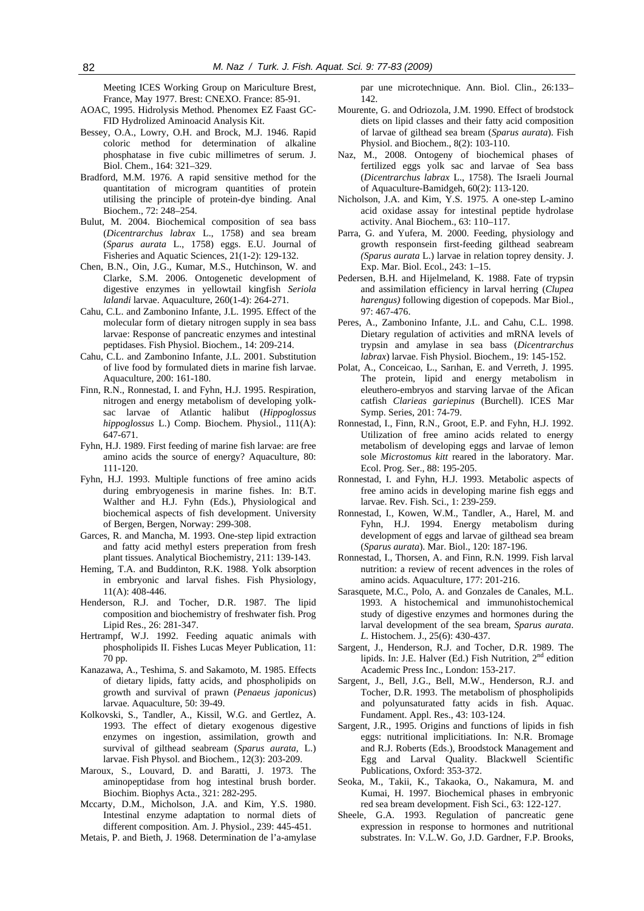Meeting ICES Working Group on Mariculture Brest, France, May 1977. Brest: CNEXO. France: 85-91.

- AOAC, 1995. Hidrolysis Method. Phenomex EZ Faast GC-FID Hydrolized Aminoacid Analysis Kit.
- Bessey, O.A., Lowry, O.H. and Brock, M.J. 1946. Rapid coloric method for determination of alkaline phosphatase in five cubic millimetres of serum. J. Biol. Chem., 164: 321–329.
- Bradford, M.M. 1976. A rapid sensitive method for the quantitation of microgram quantities of protein utilising the principle of protein-dye binding. Anal Biochem., 72: 248–254.
- Bulut, M. 2004. Biochemical composition of sea bass (*Dicentrarchus labrax* L., 1758) and sea bream (*Sparus aurata* L., 1758) eggs. E.U. Journal of Fisheries and Aquatic Sciences, 21(1-2): 129-132.
- Chen, B.N., Oin, J.G., Kumar, M.S., Hutchinson, W. and Clarke, S.M. 2006. Ontogenetic development of digestive enzymes in yellowtail kingfish *Seriola lalandi* larvae. Aquaculture, 260(1-4): 264-271.
- Cahu, C.L. and Zambonino Infante, J.L. 1995. Effect of the molecular form of dietary nitrogen supply in sea bass larvae: Response of pancreatic enzymes and intestinal peptidases. Fish Physiol. Biochem., 14: 209-214.
- Cahu, C.L. and Zambonino Infante, J.L. 2001. Substitution of live food by formulated diets in marine fish larvae. Aquaculture, 200: 161-180.
- Finn, R.N., Ronnestad, I. and Fyhn, H.J. 1995. Respiration, nitrogen and energy metabolism of developing yolksac larvae of Atlantic halibut (*Hippoglossus hippoglossus* L.) Comp. Biochem. Physiol., 111(A): 647-671.
- Fyhn, H.J. 1989. First feeding of marine fish larvae: are free amino acids the source of energy? Aquaculture, 80: 111-120.
- Fyhn, H.J. 1993. Multiple functions of free amino acids during embryogenesis in marine fishes. In: B.T. Walther and H.J. Fyhn (Eds.), Physiological and biochemical aspects of fish development. University of Bergen, Bergen, Norway: 299-308.
- Garces, R. and Mancha, M. 1993. One-step lipid extraction and fatty acid methyl esters preperation from fresh plant tissues. Analytical Biochemistry, 211: 139-143.
- Heming, T.A. and Buddinton, R.K. 1988. Yolk absorption in embryonic and larval fishes. Fish Physiology, 11(A): 408-446.
- Henderson, R.J. and Tocher, D.R. 1987. The lipid composition and biochemistry of freshwater fish. Prog Lipid Res., 26: 281-347.
- Hertrampf, W.J. 1992. Feeding aquatic animals with phospholipids II. Fishes Lucas Meyer Publication, 11: 70 pp.
- Kanazawa, A., Teshima, S. and Sakamoto, M. 1985. Effects of dietary lipids, fatty acids, and phospholipids on growth and survival of prawn (*Penaeus japonicus*) larvae. Aquaculture, 50: 39-49.
- Kolkovski, S., Tandler, A., Kissil, W.G. and Gertlez, A. 1993. The effect of dietary exogenous digestive enzymes on ingestion, assimilation, growth and survival of gilthead seabream (*Sparus aurata,* L.) larvae. Fish Physol. and Biochem., 12(3): 203-209.
- Maroux, S., Louvard, D. and Baratti, J. 1973. The aminopeptidase from hog intestinal brush border. Biochim. Biophys Acta., 321: 282-295.
- Mccarty, D.M., Micholson, J.A. and Kim, Y.S. 1980. Intestinal enzyme adaptation to normal diets of different composition. Am. J. Physiol., 239: 445-451.
- Metais, P. and Bieth, J. 1968. Determination de l'a-amylase

par une microtechnique. Ann. Biol. Clin., 26:133– 142.

- Mourente, G. and Odriozola, J.M. 1990. Effect of brodstock diets on lipid classes and their fatty acid composition of larvae of gilthead sea bream (*Sparus aurata*). Fish Physiol. and Biochem., 8(2): 103-110.
- Naz, M., 2008. Ontogeny of biochemical phases of fertilized eggs yolk sac and larvae of Sea bass (*Dicentrarchus labrax* L., 1758). The Israeli Journal of Aquaculture-Bamidgeh, 60(2): 113-120.
- Nicholson, J.A. and Kim, Y.S. 1975. A one-step L-amino acid oxidase assay for intestinal peptide hydrolase activity. Anal Biochem., 63: 110–117.
- Parra, G. and Yufera, M. 2000. Feeding, physiology and growth responsein first-feeding gilthead seabream *(Sparus aurata* L.) larvae in relation toprey density. J. Exp. Mar. Biol. Ecol., 243: 1–15.
- Pedersen, B.H. and Hijelmeland, K. 1988. Fate of trypsin and assimilation efficiency in larval herring (*Clupea harengus)* following digestion of copepods. Mar Biol., 97: 467-476.
- Peres, A., Zambonino Infante, J.L. and Cahu, C.L. 1998. Dietary regulation of activities and mRNA levels of trypsin and amylase in sea bass (*Dicentrarchus labrax*) larvae. Fish Physiol. Biochem., 19: 145-152.
- Polat, A., Conceicao, L., Sarıhan, E. and Verreth, J. 1995. The protein, lipid and energy metabolism in eleuthero-embryos and starving larvae of the Afican catfish *Clarieas gariepinus* (Burchell). ICES Mar Symp. Series, 201: 74-79.
- Ronnestad, I., Finn, R.N., Groot, E.P. and Fyhn, H.J. 1992. Utilization of free amino acids related to energy metabolism of developing eggs and larvae of lemon sole *Microstomus kitt* reared in the laboratory. Mar. Ecol. Prog. Ser., 88: 195-205.
- Ronnestad, I. and Fyhn, H.J. 1993. Metabolic aspects of free amino acids in developing marine fish eggs and larvae. Rev. Fish. Sci., 1: 239-259.
- Ronnestad, I., Kowen, W.M., Tandler, A., Harel, M. and Fyhn, H.J. 1994. Energy metabolism during development of eggs and larvae of gilthead sea bream (*Sparus aurata*). Mar. Biol., 120: 187-196.
- Ronnestad, I., Thorsen, A. and Finn, R.N. 1999. Fish larval nutrition: a review of recent advences in the roles of amino acids. Aquaculture, 177: 201-216.
- Sarasquete, M.C., Polo, A. and Gonzales de Canales, M.L. 1993. A histochemical and immunohistochemical study of digestive enzymes and hormones during the larval development of the sea bream, *Sparus aurata*. *L.* Histochem. J., 25(6): 430-437.
- Sargent, J., Henderson, R.J. and Tocher, D.R. 1989. The lipids. In: J.E. Halver (Ed.) Fish Nutrition,  $2<sup>nd</sup>$  edition Academic Press Inc., London: 153-217.
- Sargent, J., Bell, J.G., Bell, M.W., Henderson, R.J. and Tocher, D.R. 1993. The metabolism of phospholipids and polyunsaturated fatty acids in fish. Aquac. Fundament. Appl. Res., 43: 103-124.
- Sargent, J.R., 1995. Origins and functions of lipids in fish eggs: nutritional implicitiations. In: N.R. Bromage and R.J. Roberts (Eds.), Broodstock Management and Egg and Larval Quality. Blackwell Scientific Publications, Oxford: 353-372.
- Seoka, M., Takii, K., Takaoka, O., Nakamura, M. and Kumai, H. 1997. Biochemical phases in embryonic red sea bream development. Fish Sci., 63: 122-127.
- Sheele, G.A. 1993. Regulation of pancreatic gene expression in response to hormones and nutritional substrates. In: V.L.W. Go, J.D. Gardner, F.P. Brooks,